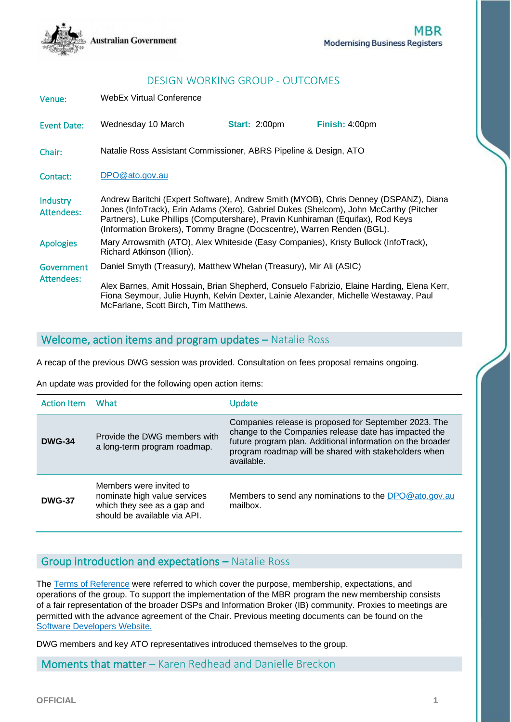

## DESIGN WORKING GROUP - OUTCOMES

Venue: WebEx Virtual Conference Event Date: Wednesday 10 March **Start:** 2:00pm **Finish:** 4:00pm Chair: Natalie Ross Assistant Commissioner, ABRS Pipeline & Design, ATO Contact: [DPO@ato.gov.au](mailto:DPO@ato.gov.au) Industry Attendees: Andrew Baritchi (Expert Software), Andrew Smith (MYOB), Chris Denney (DSPANZ), Diana Jones (InfoTrack), Erin Adams (Xero), Gabriel Dukes (Shelcom), John McCarthy (Pitcher Partners), Luke Phillips (Computershare), Pravin Kunhiraman (Equifax), Rod Keys (Information Brokers), Tommy Bragne (Docscentre), Warren Renden (BGL). Apologies Mary Arrowsmith (ATO), Alex Whiteside (Easy Companies), Kristy Bullock (InfoTrack), Richard Atkinson (Illion). **Government** Attendees: Daniel Smyth (Treasury), Matthew Whelan (Treasury), Mir Ali (ASIC) Alex Barnes, Amit Hossain, Brian Shepherd, Consuelo Fabrizio, Elaine Harding, Elena Kerr, Fiona Seymour, Julie Huynh, Kelvin Dexter, Lainie Alexander, Michelle Westaway, Paul McFarlane, Scott Birch, Tim Matthews.

#### Welcome, action items and program updates – Natalie Ross

A recap of the previous DWG session was provided. Consultation on fees proposal remains ongoing.

An update was provided for the following open action items:

| <b>Action Item</b> | What                                                                                                                   | Update                                                                                                                                                                                                                                              |
|--------------------|------------------------------------------------------------------------------------------------------------------------|-----------------------------------------------------------------------------------------------------------------------------------------------------------------------------------------------------------------------------------------------------|
| <b>DWG-34</b>      | Provide the DWG members with<br>a long-term program roadmap.                                                           | Companies release is proposed for September 2023. The<br>change to the Companies release date has impacted the<br>future program plan. Additional information on the broader<br>program roadmap will be shared with stakeholders when<br>available. |
| <b>DWG-37</b>      | Members were invited to<br>nominate high value services<br>which they see as a gap and<br>should be available via API. | Members to send any nominations to the DPO@ato.gov.au<br>mailbox.                                                                                                                                                                                   |

### Group introduction and expectations – Natalie Ross

The [Terms of Reference](https://softwaredevelopers.ato.gov.au/sites/default/files/2020-10/Design_Working_Group_Terms_of_Reference.docx) were referred to which cover the purpose, membership, expectations, and operations of the group. To support the implementation of the MBR program the new membership consists of a fair representation of the broader DSPs and Information Broker (IB) community. Proxies to meetings are permitted with the advance agreement of the Chair. Previous meeting documents can be found on the [Software Developers Website.](https://softwaredevelopers.ato.gov.au/modernisingbusinessregistersdwg)

DWG members and key ATO representatives introduced themselves to the group.

Moments that matter – Karen Redhead and Danielle Breckon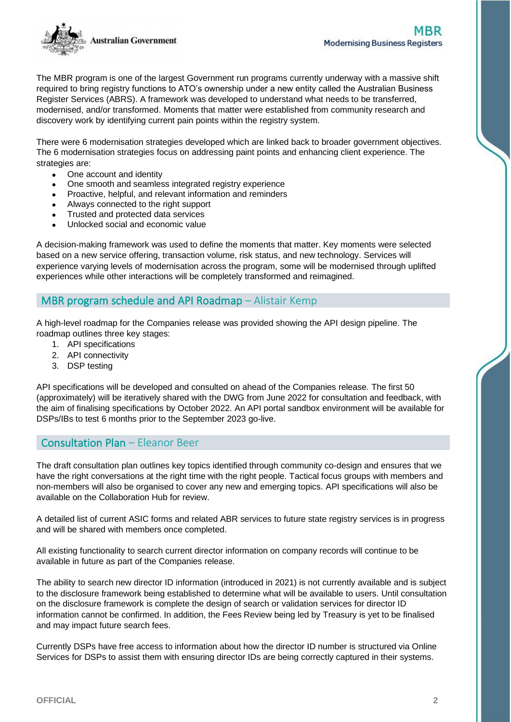

The MBR program is one of the largest Government run programs currently underway with a massive shift required to bring registry functions to ATO's ownership under a new entity called the Australian Business Register Services (ABRS). A framework was developed to understand what needs to be transferred, modernised, and/or transformed. Moments that matter were established from community research and discovery work by identifying current pain points within the registry system.

There were 6 modernisation strategies developed which are linked back to broader government objectives. The 6 modernisation strategies focus on addressing paint points and enhancing client experience. The strategies are:

- One account and identity
- One smooth and seamless integrated registry experience
- Proactive, helpful, and relevant information and reminders
- Always connected to the right support
- Trusted and protected data services
- Unlocked social and economic value

A decision-making framework was used to define the moments that matter. Key moments were selected based on a new service offering, transaction volume, risk status, and new technology. Services will experience varying levels of modernisation across the program, some will be modernised through uplifted experiences while other interactions will be completely transformed and reimagined.

### MBR program schedule and API Roadmap – Alistair Kemp

A high-level roadmap for the Companies release was provided showing the API design pipeline. The roadmap outlines three key stages:

- 1. API specifications
- 2. API connectivity
- 3. DSP testing

API specifications will be developed and consulted on ahead of the Companies release. The first 50 (approximately) will be iteratively shared with the DWG from June 2022 for consultation and feedback, with the aim of finalising specifications by October 2022. An API portal sandbox environment will be available for DSPs/IBs to test 6 months prior to the September 2023 go-live.

#### Consultation Plan – Eleanor Beer

The draft consultation plan outlines key topics identified through community co-design and ensures that we have the right conversations at the right time with the right people. Tactical focus groups with members and non-members will also be organised to cover any new and emerging topics. API specifications will also be available on the Collaboration Hub for review.

A detailed list of current ASIC forms and related ABR services to future state registry services is in progress and will be shared with members once completed.

All existing functionality to search current director information on company records will continue to be available in future as part of the Companies release.

The ability to search new director ID information (introduced in 2021) is not currently available and is subject to the disclosure framework being established to determine what will be available to users. Until consultation on the disclosure framework is complete the design of search or validation services for director ID information cannot be confirmed. In addition, the Fees Review being led by Treasury is yet to be finalised and may impact future search fees.

Currently DSPs have free access to information about how the director ID number is structured via Online Services for DSPs to assist them with ensuring director IDs are being correctly captured in their systems.